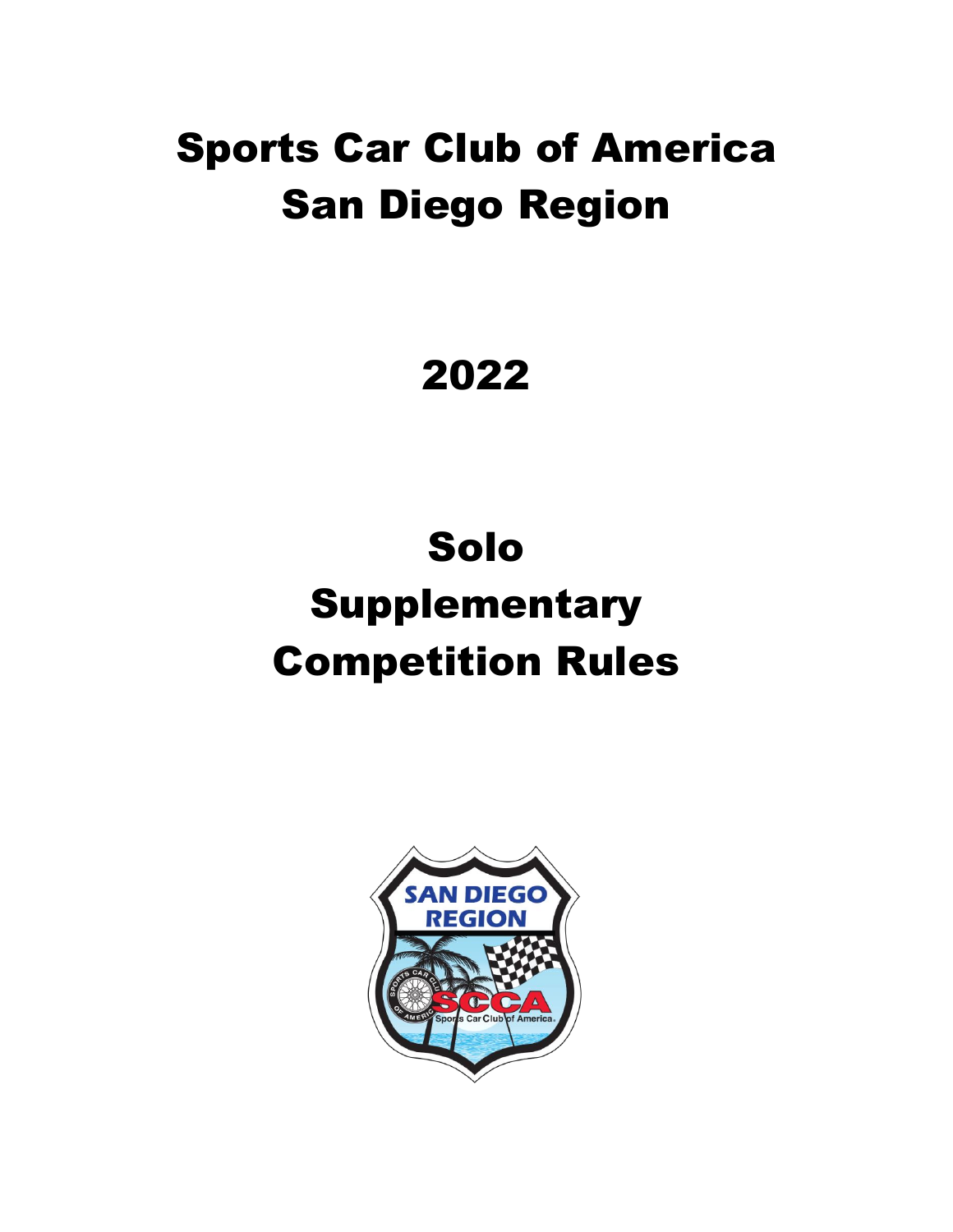# Sports Car Club of America San Diego Region

# 2022

# Solo **Supplementary** Competition Rules

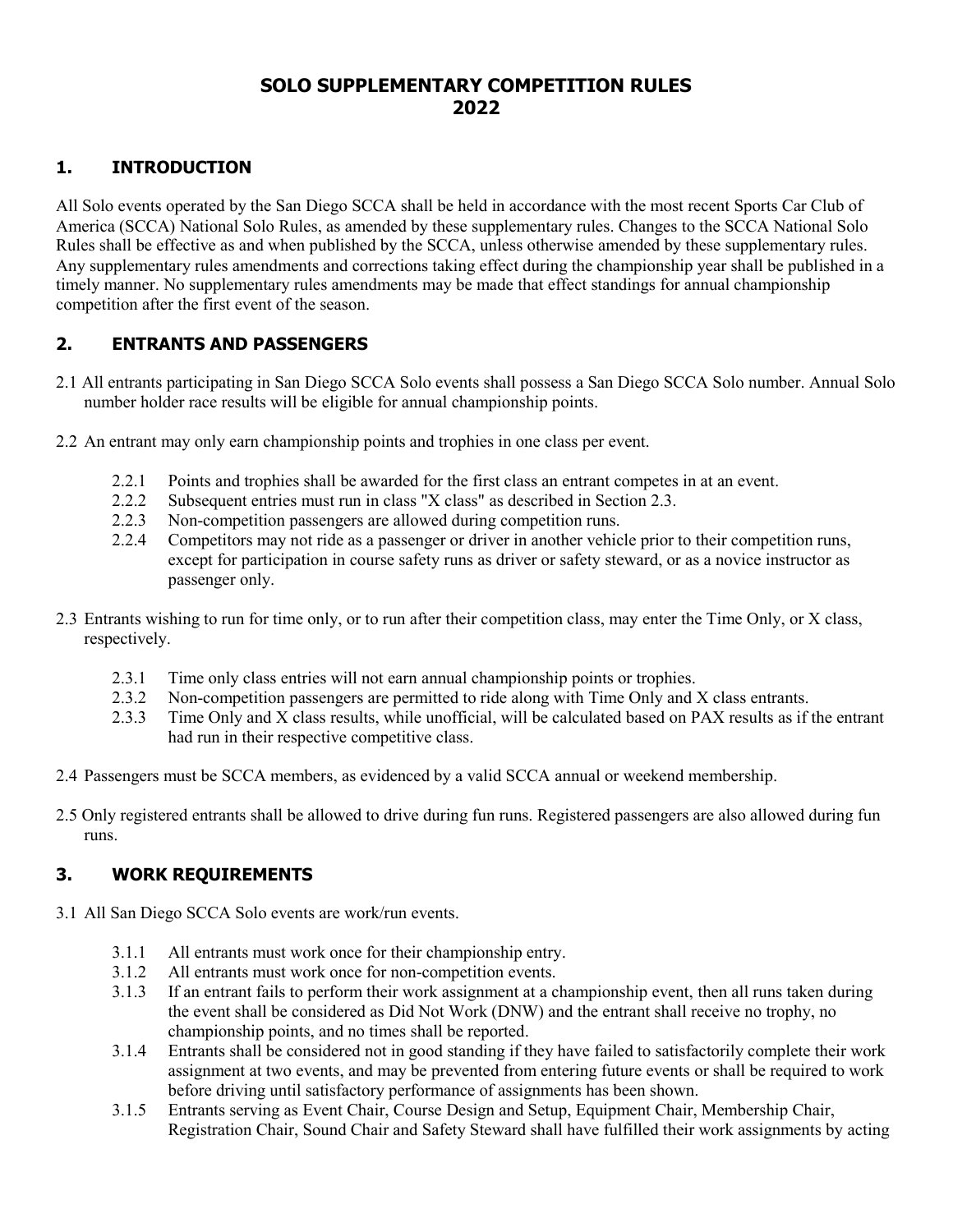#### **SOLO SUPPLEMENTARY COMPETITION RULES 2022**

#### **1. INTRODUCTION**

All Solo events operated by the San Diego SCCA shall be held in accordance with the most recent Sports Car Club of America (SCCA) National Solo Rules, as amended by these supplementary rules. Changes to the SCCA National Solo Rules shall be effective as and when published by the SCCA, unless otherwise amended by these supplementary rules. Any supplementary rules amendments and corrections taking effect during the championship year shall be published in a timely manner. No supplementary rules amendments may be made that effect standings for annual championship competition after the first event of the season.

#### **2. ENTRANTS AND PASSENGERS**

- 2.1 All entrants participating in San Diego SCCA Solo events shall possess a San Diego SCCA Solo number. Annual Solo number holder race results will be eligible for annual championship points.
- 2.2 An entrant may only earn championship points and trophies in one class per event.
	- 2.2.1 Points and trophies shall be awarded for the first class an entrant competes in at an event.
	- 2.2.2 Subsequent entries must run in class "X class" as described in Section 2.3.
	- 2.2.3 Non-competition passengers are allowed during competition runs.
	- 2.2.4 Competitors may not ride as a passenger or driver in another vehicle prior to their competition runs, except for participation in course safety runs as driver or safety steward, or as a novice instructor as passenger only.
- 2.3 Entrants wishing to run for time only, or to run after their competition class, may enter the Time Only, or X class, respectively.
	- 2.3.1 Time only class entries will not earn annual championship points or trophies.
	- 2.3.2 Non-competition passengers are permitted to ride along with Time Only and X class entrants.
	- 2.3.3 Time Only and X class results, while unofficial, will be calculated based on PAX results as if the entrant had run in their respective competitive class.
- 2.4 Passengers must be SCCA members, as evidenced by a valid SCCA annual or weekend membership.
- 2.5 Only registered entrants shall be allowed to drive during fun runs. Registered passengers are also allowed during fun runs.

#### **3. WORK REQUIREMENTS**

- 3.1 All San Diego SCCA Solo events are work/run events.
	- 3.1.1 All entrants must work once for their championship entry.
	- 3.1.2 All entrants must work once for non-competition events.
	- 3.1.3 If an entrant fails to perform their work assignment at a championship event, then all runs taken during the event shall be considered as Did Not Work (DNW) and the entrant shall receive no trophy, no championship points, and no times shall be reported.
	- 3.1.4 Entrants shall be considered not in good standing if they have failed to satisfactorily complete their work assignment at two events, and may be prevented from entering future events or shall be required to work before driving until satisfactory performance of assignments has been shown.
	- 3.1.5 Entrants serving as Event Chair, Course Design and Setup, Equipment Chair, Membership Chair, Registration Chair, Sound Chair and Safety Steward shall have fulfilled their work assignments by acting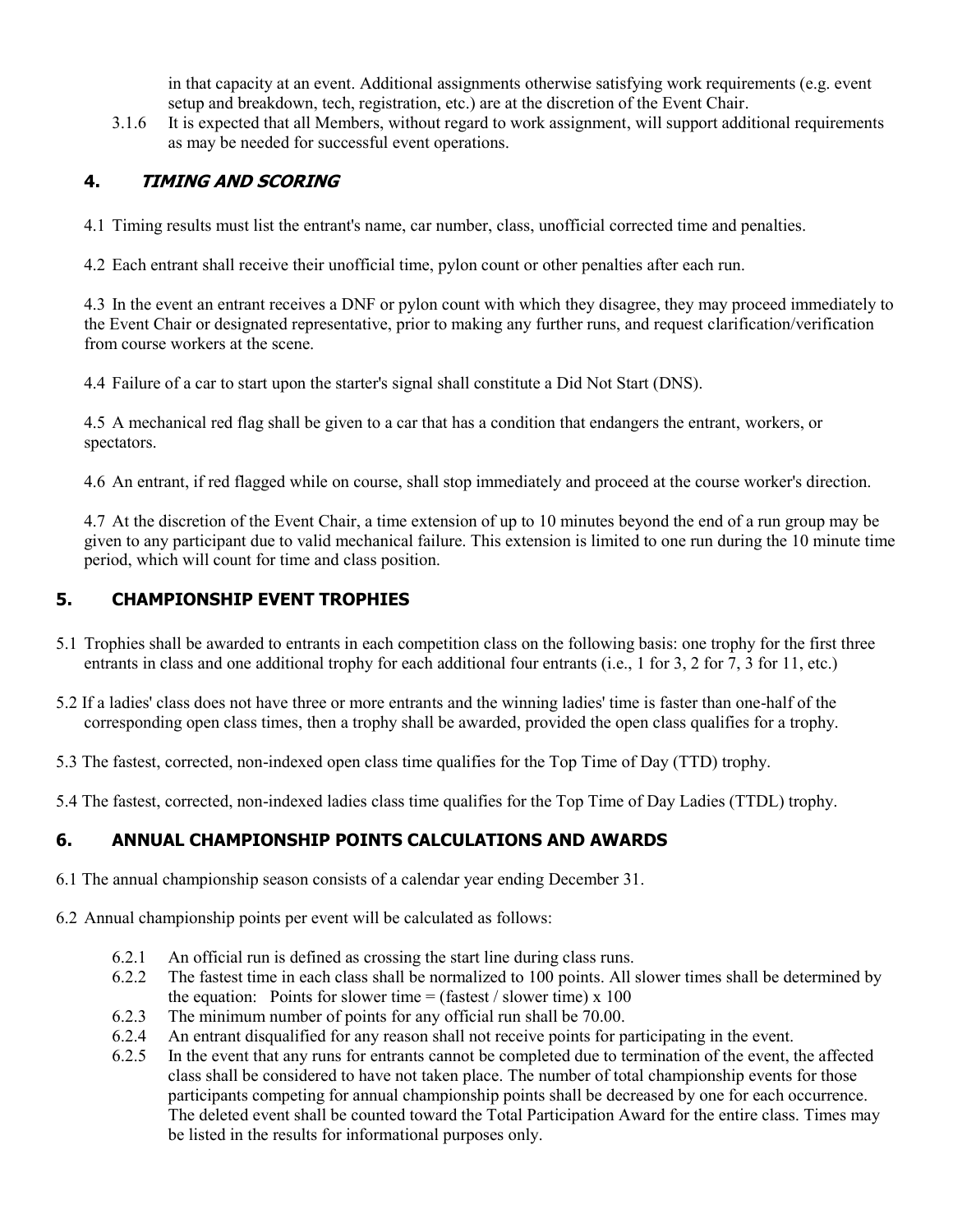in that capacity at an event. Additional assignments otherwise satisfying work requirements (e.g. event setup and breakdown, tech, registration, etc.) are at the discretion of the Event Chair.

3.1.6 It is expected that all Members, without regard to work assignment, will support additional requirements as may be needed for successful event operations.

### **4. TIMING AND SCORING**

4.1 Timing results must list the entrant's name, car number, class, unofficial corrected time and penalties.

4.2 Each entrant shall receive their unofficial time, pylon count or other penalties after each run.

4.3 In the event an entrant receives a DNF or pylon count with which they disagree, they may proceed immediately to the Event Chair or designated representative, prior to making any further runs, and request clarification/verification from course workers at the scene.

4.4 Failure of a car to start upon the starter's signal shall constitute a Did Not Start (DNS).

4.5 A mechanical red flag shall be given to a car that has a condition that endangers the entrant, workers, or spectators.

4.6 An entrant, if red flagged while on course, shall stop immediately and proceed at the course worker's direction.

4.7 At the discretion of the Event Chair, a time extension of up to 10 minutes beyond the end of a run group may be given to any participant due to valid mechanical failure. This extension is limited to one run during the 10 minute time period, which will count for time and class position.

### **5. CHAMPIONSHIP EVENT TROPHIES**

- 5.1 Trophies shall be awarded to entrants in each competition class on the following basis: one trophy for the first three entrants in class and one additional trophy for each additional four entrants (i.e., 1 for 3, 2 for 7, 3 for 11, etc.)
- 5.2 If a ladies' class does not have three or more entrants and the winning ladies' time is faster than one-half of the corresponding open class times, then a trophy shall be awarded, provided the open class qualifies for a trophy.
- 5.3 The fastest, corrected, non-indexed open class time qualifies for the Top Time of Day (TTD) trophy.
- 5.4 The fastest, corrected, non-indexed ladies class time qualifies for the Top Time of Day Ladies (TTDL) trophy.

## **6. ANNUAL CHAMPIONSHIP POINTS CALCULATIONS AND AWARDS**

- 6.1 The annual championship season consists of a calendar year ending December 31.
- 6.2 Annual championship points per event will be calculated as follows:
	- 6.2.1 An official run is defined as crossing the start line during class runs.
	- 6.2.2 The fastest time in each class shall be normalized to 100 points. All slower times shall be determined by the equation: Points for slower time = (fastest / slower time)  $x 100$
	- 6.2.3 The minimum number of points for any official run shall be 70.00.
	- 6.2.4 An entrant disqualified for any reason shall not receive points for participating in the event.
	- 6.2.5 In the event that any runs for entrants cannot be completed due to termination of the event, the affected class shall be considered to have not taken place. The number of total championship events for those participants competing for annual championship points shall be decreased by one for each occurrence. The deleted event shall be counted toward the Total Participation Award for the entire class. Times may be listed in the results for informational purposes only.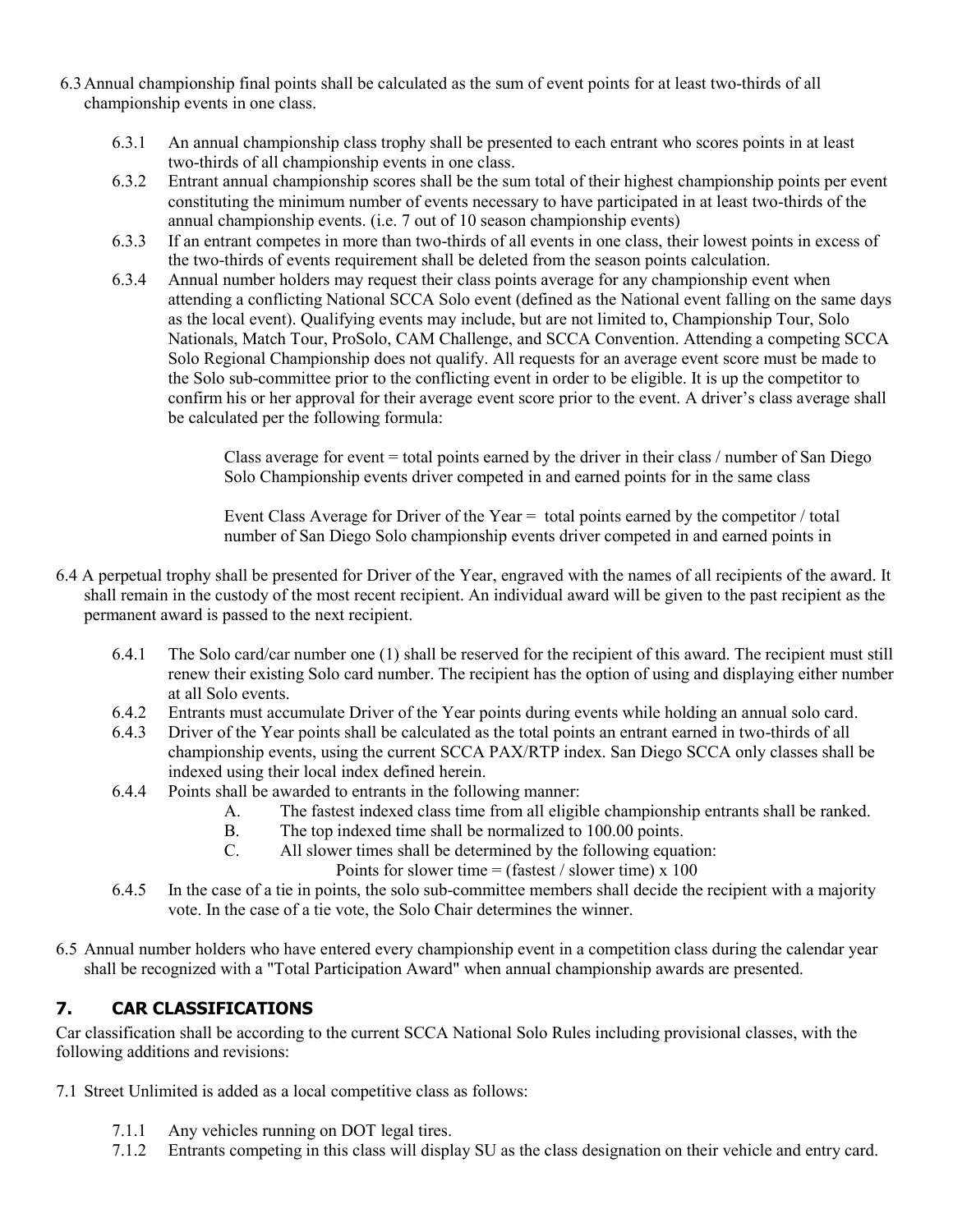- 6.3Annual championship final points shall be calculated as the sum of event points for at least two-thirds of all championship events in one class.
	- 6.3.1 An annual championship class trophy shall be presented to each entrant who scores points in at least two-thirds of all championship events in one class.
	- 6.3.2 Entrant annual championship scores shall be the sum total of their highest championship points per event constituting the minimum number of events necessary to have participated in at least two-thirds of the annual championship events. (i.e. 7 out of 10 season championship events)
	- 6.3.3 If an entrant competes in more than two-thirds of all events in one class, their lowest points in excess of the two-thirds of events requirement shall be deleted from the season points calculation.
	- 6.3.4 Annual number holders may request their class points average for any championship event when attending a conflicting National SCCA Solo event (defined as the National event falling on the same days as the local event). Qualifying events may include, but are not limited to, Championship Tour, Solo Nationals, Match Tour, ProSolo, CAM Challenge, and SCCA Convention. Attending a competing SCCA Solo Regional Championship does not qualify. All requests for an average event score must be made to the Solo sub-committee prior to the conflicting event in order to be eligible. It is up the competitor to confirm his or her approval for their average event score prior to the event. A driver's class average shall be calculated per the following formula:

Class average for event  $=$  total points earned by the driver in their class  $/$  number of San Diego Solo Championship events driver competed in and earned points for in the same class

Event Class Average for Driver of the Year = total points earned by the competitor / total number of San Diego Solo championship events driver competed in and earned points in

- 6.4 A perpetual trophy shall be presented for Driver of the Year, engraved with the names of all recipients of the award. It shall remain in the custody of the most recent recipient. An individual award will be given to the past recipient as the permanent award is passed to the next recipient.
	- 6.4.1 The Solo card/car number one (1) shall be reserved for the recipient of this award. The recipient must still renew their existing Solo card number. The recipient has the option of using and displaying either number at all Solo events.
	- 6.4.2 Entrants must accumulate Driver of the Year points during events while holding an annual solo card.
	- 6.4.3 Driver of the Year points shall be calculated as the total points an entrant earned in two-thirds of all championship events, using the current SCCA PAX/RTP index. San Diego SCCA only classes shall be indexed using their local index defined herein.
	- 6.4.4 Points shall be awarded to entrants in the following manner:
		- A. The fastest indexed class time from all eligible championship entrants shall be ranked.
		- B. The top indexed time shall be normalized to 100.00 points.
		- C. All slower times shall be determined by the following equation:

Points for slower time  $=$  (fastest / slower time) x 100

- 6.4.5 In the case of a tie in points, the solo sub-committee members shall decide the recipient with a majority vote. In the case of a tie vote, the Solo Chair determines the winner.
- 6.5 Annual number holders who have entered every championship event in a competition class during the calendar year shall be recognized with a "Total Participation Award" when annual championship awards are presented.

#### **7. CAR CLASSIFICATIONS**

Car classification shall be according to the current SCCA National Solo Rules including provisional classes, with the following additions and revisions:

- 7.1 Street Unlimited is added as a local competitive class as follows:
	- 7.1.1 Any vehicles running on DOT legal tires.
	- 7.1.2 Entrants competing in this class will display SU as the class designation on their vehicle and entry card.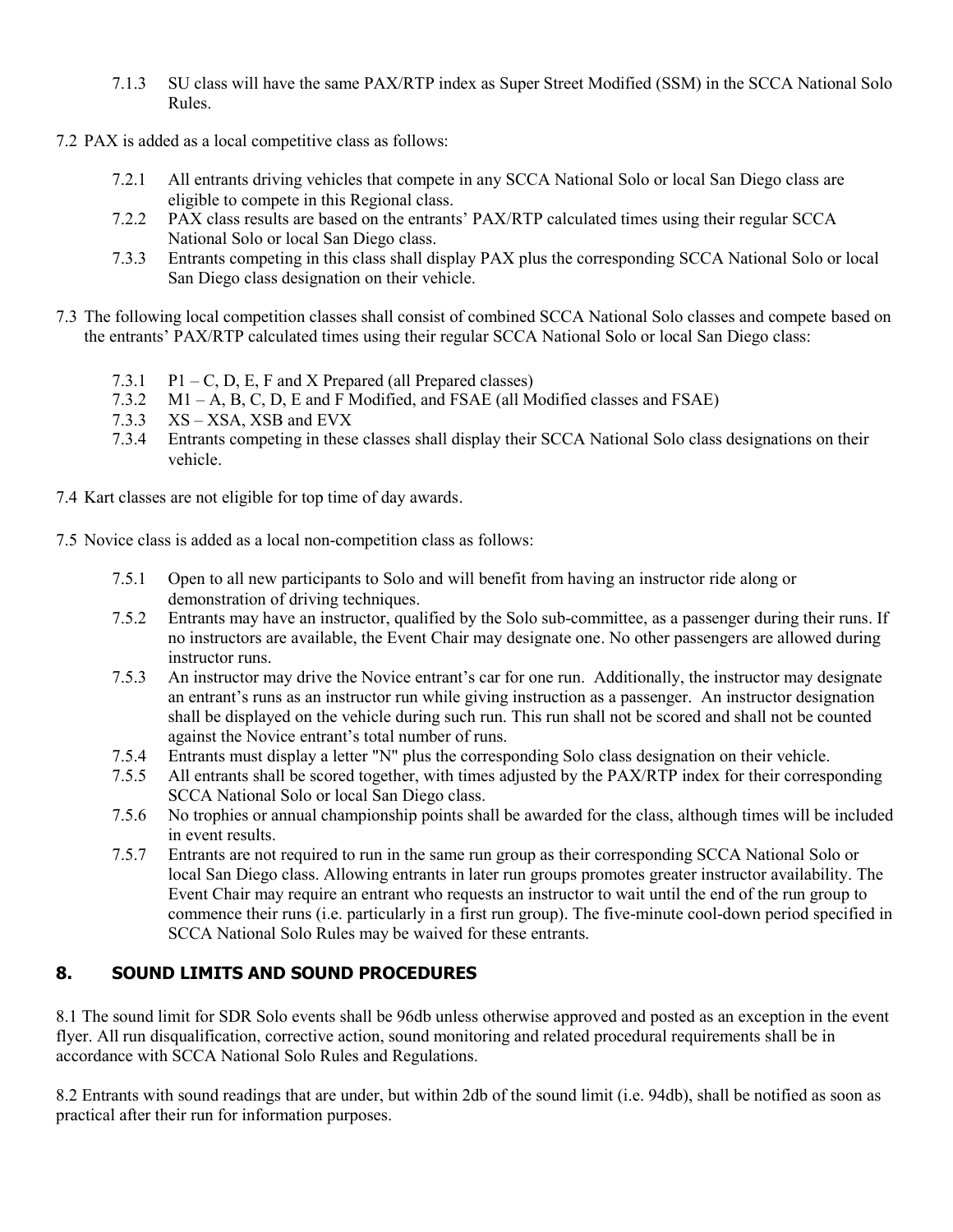- 7.1.3 SU class will have the same PAX/RTP index as Super Street Modified (SSM) in the SCCA National Solo Rules.
- 7.2 PAX is added as a local competitive class as follows:
	- 7.2.1 All entrants driving vehicles that compete in any SCCA National Solo or local San Diego class are eligible to compete in this Regional class.
	- 7.2.2 PAX class results are based on the entrants' PAX/RTP calculated times using their regular SCCA National Solo or local San Diego class.
	- 7.3.3 Entrants competing in this class shall display PAX plus the corresponding SCCA National Solo or local San Diego class designation on their vehicle.
- 7.3 The following local competition classes shall consist of combined SCCA National Solo classes and compete based on the entrants' PAX/RTP calculated times using their regular SCCA National Solo or local San Diego class:
	- 7.3.1  $P1 C$ , D, E, F and X Prepared (all Prepared classes)
	- 7.3.2 M1 A, B, C, D, E and F Modified, and FSAE (all Modified classes and FSAE)
	- 7.3.3 XS XSA, XSB and EVX
	- 7.3.4 Entrants competing in these classes shall display their SCCA National Solo class designations on their vehicle.
- 7.4 Kart classes are not eligible for top time of day awards.
- 7.5 Novice class is added as a local non-competition class as follows:
	- 7.5.1 Open to all new participants to Solo and will benefit from having an instructor ride along or demonstration of driving techniques.
	- 7.5.2 Entrants may have an instructor, qualified by the Solo sub-committee, as a passenger during their runs. If no instructors are available, the Event Chair may designate one. No other passengers are allowed during instructor runs.
	- 7.5.3 An instructor may drive the Novice entrant's car for one run. Additionally, the instructor may designate an entrant's runs as an instructor run while giving instruction as a passenger. An instructor designation shall be displayed on the vehicle during such run. This run shall not be scored and shall not be counted against the Novice entrant's total number of runs.
	- 7.5.4 Entrants must display a letter "N" plus the corresponding Solo class designation on their vehicle.
	- 7.5.5 All entrants shall be scored together, with times adjusted by the PAX/RTP index for their corresponding SCCA National Solo or local San Diego class.
	- 7.5.6 No trophies or annual championship points shall be awarded for the class, although times will be included in event results.
	- 7.5.7 Entrants are not required to run in the same run group as their corresponding SCCA National Solo or local San Diego class. Allowing entrants in later run groups promotes greater instructor availability. The Event Chair may require an entrant who requests an instructor to wait until the end of the run group to commence their runs (i.e. particularly in a first run group). The five-minute cool-down period specified in SCCA National Solo Rules may be waived for these entrants.

#### **8. SOUND LIMITS AND SOUND PROCEDURES**

8.1 The sound limit for SDR Solo events shall be 96db unless otherwise approved and posted as an exception in the event flyer. All run disqualification, corrective action, sound monitoring and related procedural requirements shall be in accordance with SCCA National Solo Rules and Regulations.

8.2 Entrants with sound readings that are under, but within 2db of the sound limit (i.e. 94db), shall be notified as soon as practical after their run for information purposes.